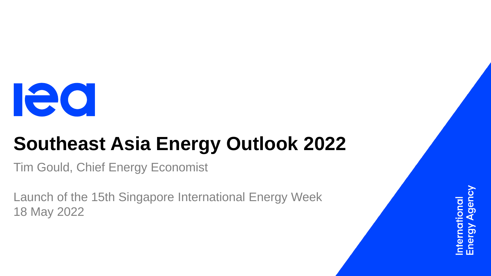

# **Southeast Asia Energy Outlook 2022**

Tim Gould, Chief Energy Economist

Launch of the 15th Singapore International Energy Week 18 May 2022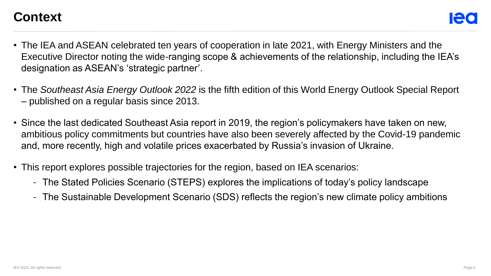#### **Context**

- The IEA and ASEAN celebrated ten years of cooperation in late 2021, with Energy Ministers and the Executive Director noting the wide-ranging scope & achievements of the relationship, including the IEA's designation as ASEAN's 'strategic partner'.
- The *Southeast Asia Energy Outlook 2022* is the fifth edition of this World Energy Outlook Special Report – published on a regular basis since 2013.
- Since the last dedicated Southeast Asia report in 2019, the region's policymakers have taken on new, ambitious policy commitments but countries have also been severely affected by the Covid-19 pandemic and, more recently, high and volatile prices exacerbated by Russia's invasion of Ukraine.
- This report explores possible trajectories for the region, based on IEA scenarios:
	- The Stated Policies Scenario (STEPS) explores the implications of today's policy landscape
	- The Sustainable Development Scenario (SDS) reflects the region's new climate policy ambitions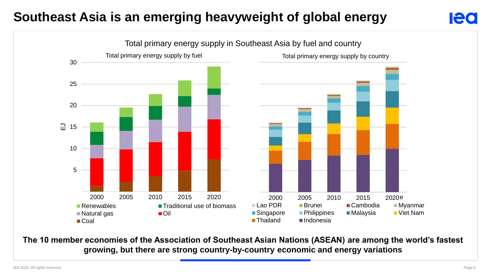# **Southeast Asia is an emerging heavyweight of global energy**



**The 10 member economies of the Association of Southeast Asian Nations (ASEAN) are among the world's fastest growing, but there are strong country-by-country economic and energy variations**

Ieo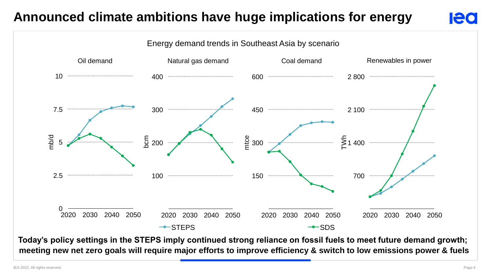# **Announced climate ambitions have huge implications for energy**



**Today's policy settings in the STEPS imply continued strong reliance on fossil fuels to meet future demand growth; meeting new net zero goals will require major efforts to improve efficiency & switch to low emissions power & fuels**

**Ieo**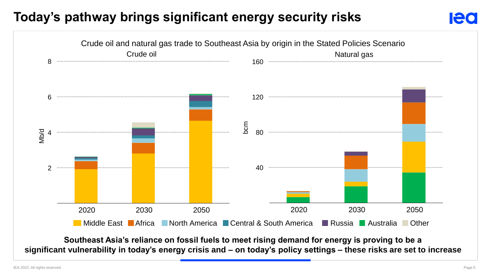### **Today's pathway brings significant energy security risks**



**Southeast Asia's reliance on fossil fuels to meet rising demand for energy is proving to be a significant vulnerability in today's energy crisis and – on today's policy settings – these risks are set to increase**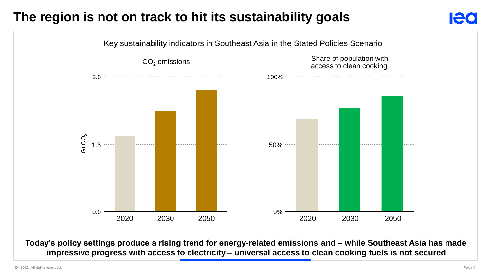# **The region is not on track to hit its sustainability goals**



**Today's policy settings produce a rising trend for energy-related emissions and – while Southeast Asia has made Today's policy settings produce a rising trend for energy-related emissions impressive progress with access to electricity – universal access to clean cooking fuels is not secured**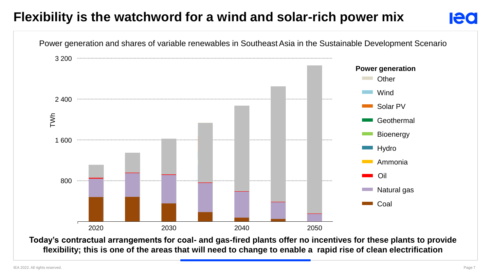# **Flexibility is the watchword for a wind and solar-rich power mix**



**Today's contractual arrangements for coal- and gas-fired plants offer no incentives for these plants to provide flexibility; this is one of the areas that will need to change to enable a rapid rise of clean electrification**

**Ieo**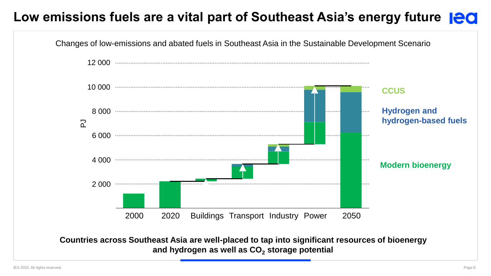# **Low emissions fuels are a vital part of Southeast Asia's energy future**

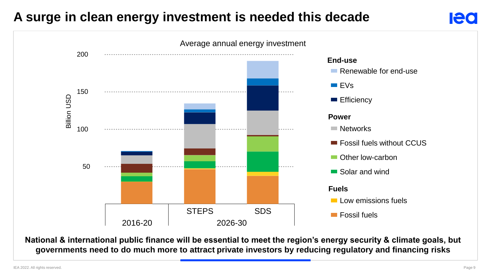#### **A surge in clean energy investment is needed this decade**



**National & international public finance will be essential to meet the region's energy security & climate goals, but governments need to do much more to attract private investors by reducing regulatory and financing risks**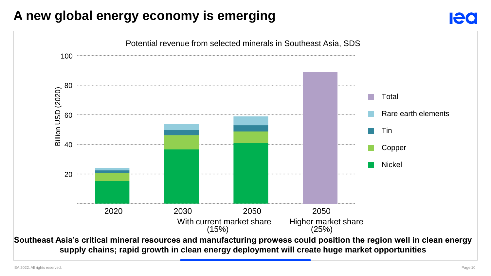#### **A new global energy economy is emerging**